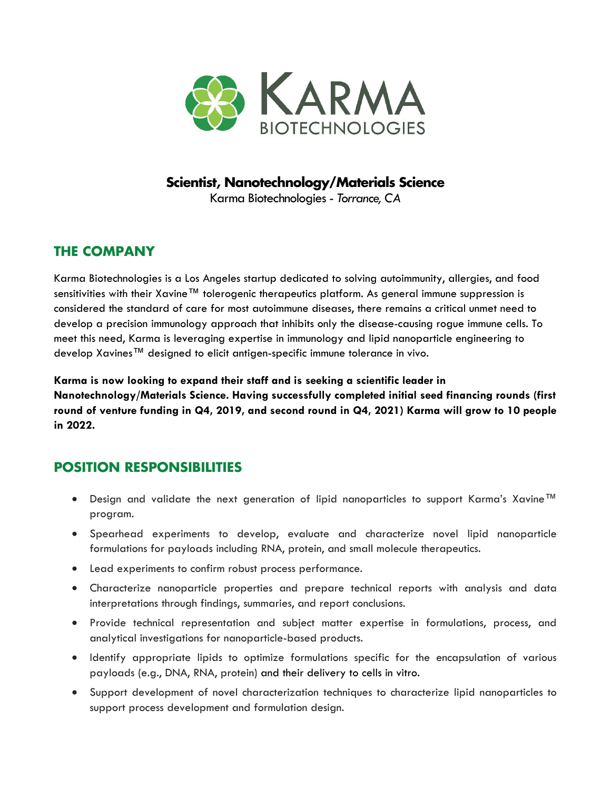

#### **Scientist, Nanotechnology/Materials Science**

Karma Biotechnologies - *Torrance, CA*

### **THE COMPANY**

Karma Biotechnologies is a Los Angeles startup dedicated to solving autoimmunity, allergies, and food sensitivities with their Xavine™ tolerogenic therapeutics platform. As general immune suppression is considered the standard of care for most autoimmune diseases, there remains a critical unmet need to develop a precision immunology approach that inhibits only the disease-causing rogue immune cells. To meet this need, Karma is leveraging expertise in immunology and lipid nanoparticle engineering to develop Xavines™ designed to elicit antigen-specific immune tolerance in vivo.

**Karma is now looking to expand their staff and is seeking a scientific leader in Nanotechnology/Materials Science. Having successfully completed initial seed financing rounds (first round of venture funding in Q4, 2019, and second round in Q4, 2021) Karma will grow to 10 people in 2022.**

### **POSITION RESPONSIBILITIES**

- Design and validate the next generation of lipid nanoparticles to support Karma's Xavine™ program.
- Spearhead experiments to develop, evaluate and characterize novel lipid nanoparticle formulations for payloads including RNA, protein, and small molecule therapeutics.
- Lead experiments to confirm robust process performance.
- Characterize nanoparticle properties and prepare technical reports with analysis and data interpretations through findings, summaries, and report conclusions.
- Provide technical representation and subject matter expertise in formulations, process, and analytical investigations for nanoparticle-based products.
- Identify appropriate lipids to optimize formulations specific for the encapsulation of various payloads (e.g., DNA, RNA, protein) and their delivery to cells in vitro.
- Support development of novel characterization techniques to characterize lipid nanoparticles to support process development and formulation design.